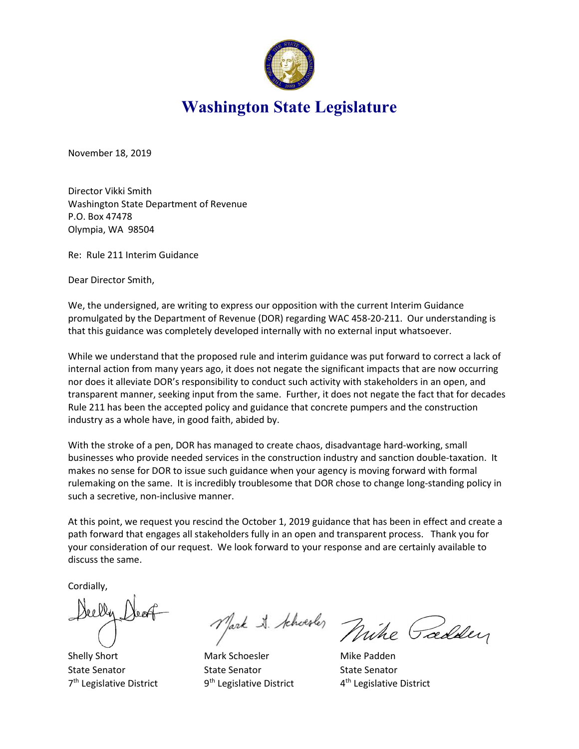

## Washington State Legislature

November 18, 2019

Director Vikki Smith Washington State Department of Revenue P.O. Box 47478 Olympia, WA 98504

Re: Rule 211 Interim Guidance

Dear Director Smith,

We, the undersigned, are writing to express our opposition with the current Interim Guidance promulgated by the Department of Revenue (DOR) regarding WAC 458-20-211. Our understanding is that this guidance was completely developed internally with no external input whatsoever.

While we understand that the proposed rule and interim guidance was put forward to correct a lack of internal action from many years ago, it does not negate the significant impacts that are now occurring nor does it alleviate DOR's responsibility to conduct such activity with stakeholders in an open, and transparent manner, seeking input from the same. Further, it does not negate the fact that for decades Rule 211 has been the accepted policy and guidance that concrete pumpers and the construction industry as a whole have, in good faith, abided by.

With the stroke of a pen, DOR has managed to create chaos, disadvantage hard-working, small businesses who provide needed services in the construction industry and sanction double-taxation. It makes no sense for DOR to issue such guidance when your agency is moving forward with formal rulemaking on the same. It is incredibly troublesome that DOR chose to change long-standing policy in such a secretive, non-inclusive manner.

At this point, we request you rescind the October 1, 2019 guidance that has been in effect and create a path forward that engages all stakeholders fully in an open and transparent process. Thank you for your consideration of our request. We look forward to your response and are certainly available to discuss the same.

Cordially,

Shelly Short **Mark Schoesler** Mike Padden State Senator **State Senator** State Senator State Senator 7<sup>th</sup> Legislative District

Mark A. Achoester Mike Pæddey

 $9<sup>th</sup>$  Legislative District  $4<sup>th</sup>$  Legislative District